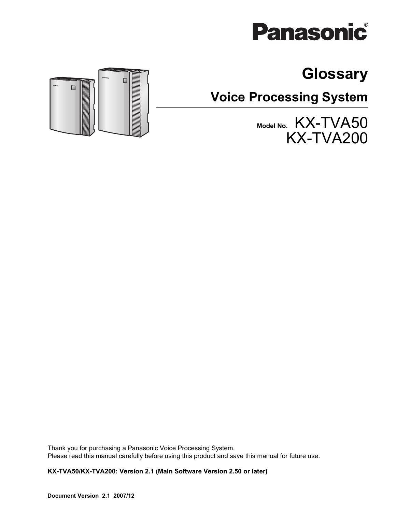# **Panasonic**

# **Glossary**

**Voice Processing System**

**Model No.** KX-TVA50 KX-TVA200



Thank you for purchasing a Panasonic Voice Processing System. Please read this manual carefully before using this product and save this manual for future use.

**KX-TVA50/KX-TVA200: Version 2.1 (Main Software Version 2.50 or later)**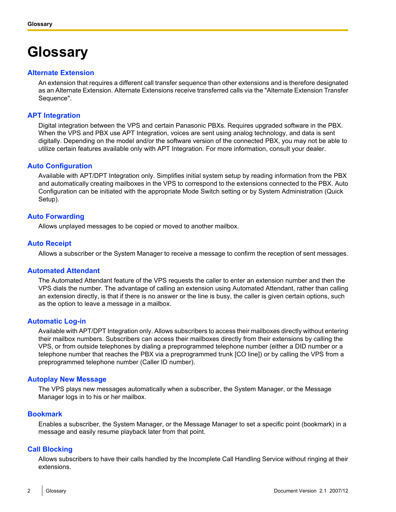# **Glossary**

# **Alternate Extension**

An extension that requires a different call transfer sequence than other extensions and is therefore designated as an Alternate Extension. Alternate Extensions receive transferred calls via the "Alternate Extension Transfer Sequence".

# **APT Integration**

Digital integration between the VPS and certain Panasonic PBXs. Requires upgraded software in the PBX. When the VPS and PBX use APT Integration, voices are sent using analog technology, and data is sent digitally. Depending on the model and/or the software version of the connected PBX, you may not be able to utilize certain features available only with APT Integration. For more information, consult your dealer.

# **Auto Configuration**

Available with APT/DPT Integration only. Simplifies initial system setup by reading information from the PBX and automatically creating mailboxes in the VPS to correspond to the extensions connected to the PBX. Auto Configuration can be initiated with the appropriate Mode Switch setting or by System Administration (Quick Setup).

# **Auto Forwarding**

Allows unplayed messages to be copied or moved to another mailbox.

# **Auto Receipt**

Allows a subscriber or the System Manager to receive a message to confirm the reception of sent messages.

# **Automated Attendant**

The Automated Attendant feature of the VPS requests the caller to enter an extension number and then the VPS dials the number. The advantage of calling an extension using Automated Attendant, rather than calling an extension directly, is that if there is no answer or the line is busy, the caller is given certain options, such as the option to leave a message in a mailbox.

# **Automatic Log-in**

Available with APT/DPT Integration only. Allows subscribers to access their mailboxes directly without entering their mailbox numbers. Subscribers can access their mailboxes directly from their extensions by calling the VPS, or from outside telephones by dialing a preprogrammed telephone number (either a DID number or a telephone number that reaches the PBX via a preprogrammed trunk [CO line]) or by calling the VPS from a preprogrammed telephone number (Caller ID number).

# **Autoplay New Message**

The VPS plays new messages automatically when a subscriber, the System Manager, or the Message Manager logs in to his or her mailbox.

# **Bookmark**

Enables a subscriber, the System Manager, or the Message Manager to set a specific point (bookmark) in a message and easily resume playback later from that point.

# **Call Blocking**

Allows subscribers to have their calls handled by the Incomplete Call Handling Service without ringing at their extensions.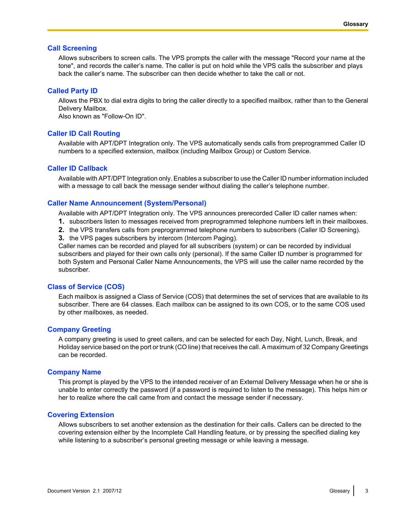# **Call Screening**

Allows subscribers to screen calls. The VPS prompts the caller with the message "Record your name at the tone", and records the caller's name. The caller is put on hold while the VPS calls the subscriber and plays back the caller's name. The subscriber can then decide whether to take the call or not.

# **Called Party ID**

Allows the PBX to dial extra digits to bring the caller directly to a specified mailbox, rather than to the General Delivery Mailbox.

Also known as "Follow-On ID".

# **Caller ID Call Routing**

Available with APT/DPT Integration only. The VPS automatically sends calls from preprogrammed Caller ID numbers to a specified extension, mailbox (including Mailbox Group) or Custom Service.

# **Caller ID Callback**

Available with APT/DPT Integration only. Enables a subscriber to use the Caller ID number information included with a message to call back the message sender without dialing the caller's telephone number.

# **Caller Name Announcement (System/Personal)**

Available with APT/DPT Integration only. The VPS announces prerecorded Caller ID caller names when:

- **1.** subscribers listen to messages received from preprogrammed telephone numbers left in their mailboxes.
- **2.** the VPS transfers calls from preprogrammed telephone numbers to subscribers (Caller ID Screening).
- **3.** the VPS pages subscribers by intercom (Intercom Paging).

Caller names can be recorded and played for all subscribers (system) or can be recorded by individual subscribers and played for their own calls only (personal). If the same Caller ID number is programmed for both System and Personal Caller Name Announcements, the VPS will use the caller name recorded by the subscriber.

# **Class of Service (COS)**

Each mailbox is assigned a Class of Service (COS) that determines the set of services that are available to its subscriber. There are 64 classes. Each mailbox can be assigned to its own COS, or to the same COS used by other mailboxes, as needed.

# **Company Greeting**

A company greeting is used to greet callers, and can be selected for each Day, Night, Lunch, Break, and Holiday service based on the port or trunk (CO line) that receives the call. A maximum of 32 Company Greetings can be recorded.

# **Company Name**

This prompt is played by the VPS to the intended receiver of an External Delivery Message when he or she is unable to enter correctly the password (if a password is required to listen to the message). This helps him or her to realize where the call came from and contact the message sender if necessary.

# **Covering Extension**

Allows subscribers to set another extension as the destination for their calls. Callers can be directed to the covering extension either by the Incomplete Call Handling feature, or by pressing the specified dialing key while listening to a subscriber's personal greeting message or while leaving a message.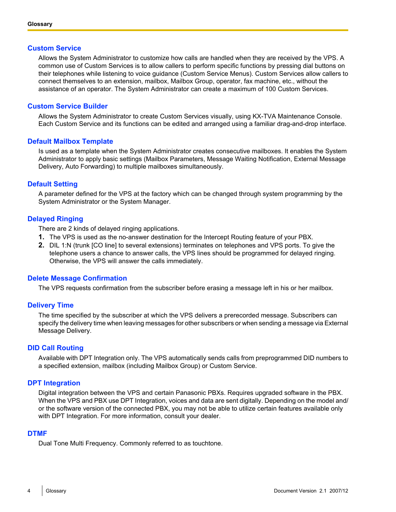# **Custom Service**

Allows the System Administrator to customize how calls are handled when they are received by the VPS. A common use of Custom Services is to allow callers to perform specific functions by pressing dial buttons on their telephones while listening to voice guidance (Custom Service Menus). Custom Services allow callers to connect themselves to an extension, mailbox, Mailbox Group, operator, fax machine, etc., without the assistance of an operator. The System Administrator can create a maximum of 100 Custom Services.

# **Custom Service Builder**

Allows the System Administrator to create Custom Services visually, using KX-TVA Maintenance Console. Each Custom Service and its functions can be edited and arranged using a familiar drag-and-drop interface.

# **Default Mailbox Template**

Is used as a template when the System Administrator creates consecutive mailboxes. It enables the System Administrator to apply basic settings (Mailbox Parameters, Message Waiting Notification, External Message Delivery, Auto Forwarding) to multiple mailboxes simultaneously.

# **Default Setting**

A parameter defined for the VPS at the factory which can be changed through system programming by the System Administrator or the System Manager.

# **Delayed Ringing**

There are 2 kinds of delayed ringing applications.

- **1.** The VPS is used as the no-answer destination for the Intercept Routing feature of your PBX.
- **2.** DIL 1:N (trunk [CO line] to several extensions) terminates on telephones and VPS ports. To give the telephone users a chance to answer calls, the VPS lines should be programmed for delayed ringing. Otherwise, the VPS will answer the calls immediately.

# **Delete Message Confirmation**

The VPS requests confirmation from the subscriber before erasing a message left in his or her mailbox.

# **Delivery Time**

The time specified by the subscriber at which the VPS delivers a prerecorded message. Subscribers can specify the delivery time when leaving messages for other subscribers or when sending a message via External Message Delivery.

# **DID Call Routing**

Available with DPT Integration only. The VPS automatically sends calls from preprogrammed DID numbers to a specified extension, mailbox (including Mailbox Group) or Custom Service.

# **DPT Integration**

Digital integration between the VPS and certain Panasonic PBXs. Requires upgraded software in the PBX. When the VPS and PBX use DPT Integration, voices and data are sent digitally. Depending on the model and/ or the software version of the connected PBX, you may not be able to utilize certain features available only with DPT Integration. For more information, consult your dealer.

# **DTMF**

Dual Tone Multi Frequency. Commonly referred to as touchtone.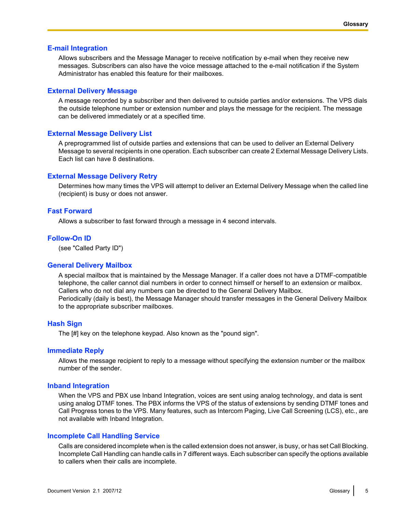#### **E-mail Integration**

Allows subscribers and the Message Manager to receive notification by e-mail when they receive new messages. Subscribers can also have the voice message attached to the e-mail notification if the System Administrator has enabled this feature for their mailboxes.

#### **External Delivery Message**

A message recorded by a subscriber and then delivered to outside parties and/or extensions. The VPS dials the outside telephone number or extension number and plays the message for the recipient. The message can be delivered immediately or at a specified time.

#### **External Message Delivery List**

A preprogrammed list of outside parties and extensions that can be used to deliver an External Delivery Message to several recipients in one operation. Each subscriber can create 2 External Message Delivery Lists. Each list can have 8 destinations.

#### **External Message Delivery Retry**

Determines how many times the VPS will attempt to deliver an External Delivery Message when the called line (recipient) is busy or does not answer.

# **Fast Forward**

Allows a subscriber to fast forward through a message in 4 second intervals.

# **Follow-On ID**

(see "Called Party ID")

#### **General Delivery Mailbox**

A special mailbox that is maintained by the Message Manager. If a caller does not have a DTMF-compatible telephone, the caller cannot dial numbers in order to connect himself or herself to an extension or mailbox. Callers who do not dial any numbers can be directed to the General Delivery Mailbox. Periodically (daily is best), the Message Manager should transfer messages in the General Delivery Mailbox to the appropriate subscriber mailboxes.

#### **Hash Sign**

The [#] key on the telephone keypad. Also known as the "pound sign".

#### **Immediate Reply**

Allows the message recipient to reply to a message without specifying the extension number or the mailbox number of the sender.

#### **Inband Integration**

When the VPS and PBX use Inband Integration, voices are sent using analog technology, and data is sent using analog DTMF tones. The PBX informs the VPS of the status of extensions by sending DTMF tones and Call Progress tones to the VPS. Many features, such as Intercom Paging, Live Call Screening (LCS), etc., are not available with Inband Integration.

#### **Incomplete Call Handling Service**

Calls are considered incomplete when is the called extension does not answer, is busy, or has set Call Blocking. Incomplete Call Handling can handle calls in 7 different ways. Each subscriber can specify the options available to callers when their calls are incomplete.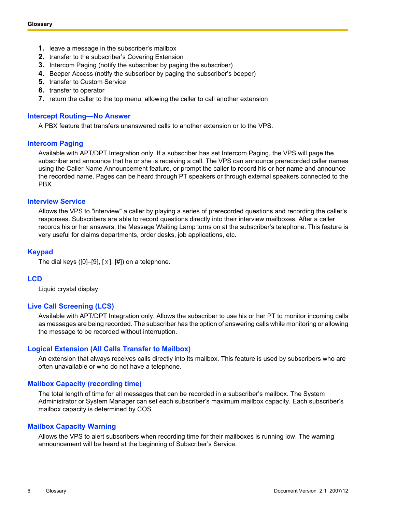- **1.** leave a message in the subscriber's mailbox
- **2.** transfer to the subscriber's Covering Extension
- **3.** Intercom Paging (notify the subscriber by paging the subscriber)
- **4.** Beeper Access (notify the subscriber by paging the subscriber's beeper)
- **5.** transfer to Custom Service
- **6.** transfer to operator
- **7.** return the caller to the top menu, allowing the caller to call another extension

# **Intercept Routing—No Answer**

A PBX feature that transfers unanswered calls to another extension or to the VPS.

# **Intercom Paging**

Available with APT/DPT Integration only. If a subscriber has set Intercom Paging, the VPS will page the subscriber and announce that he or she is receiving a call. The VPS can announce prerecorded caller names using the Caller Name Announcement feature, or prompt the caller to record his or her name and announce the recorded name. Pages can be heard through PT speakers or through external speakers connected to the PBX.

# **Interview Service**

Allows the VPS to "interview" a caller by playing a series of prerecorded questions and recording the caller's responses. Subscribers are able to record questions directly into their interview mailboxes. After a caller records his or her answers, the Message Waiting Lamp turns on at the subscriber's telephone. This feature is very useful for claims departments, order desks, job applications, etc.

# **Keypad**

The dial keys ([0]–[9],  $[\star]$ ,  $[\sharp]$ ) on a telephone.

# **LCD**

Liquid crystal display

# **Live Call Screening (LCS)**

Available with APT/DPT Integration only. Allows the subscriber to use his or her PT to monitor incoming calls as messages are being recorded. The subscriber has the option of answering calls while monitoring or allowing the message to be recorded without interruption.

# **Logical Extension (All Calls Transfer to Mailbox)**

An extension that always receives calls directly into its mailbox. This feature is used by subscribers who are often unavailable or who do not have a telephone.

# **Mailbox Capacity (recording time)**

The total length of time for all messages that can be recorded in a subscriber's mailbox. The System Administrator or System Manager can set each subscriber's maximum mailbox capacity. Each subscriber's mailbox capacity is determined by COS.

# **Mailbox Capacity Warning**

Allows the VPS to alert subscribers when recording time for their mailboxes is running low. The warning announcement will be heard at the beginning of Subscriber's Service.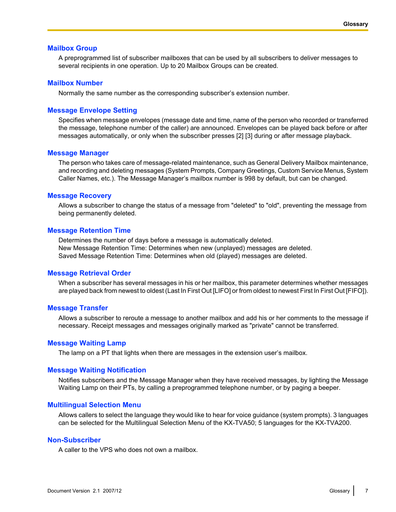#### **Mailbox Group**

A preprogrammed list of subscriber mailboxes that can be used by all subscribers to deliver messages to several recipients in one operation. Up to 20 Mailbox Groups can be created.

#### **Mailbox Number**

Normally the same number as the corresponding subscriber's extension number.

#### **Message Envelope Setting**

Specifies when message envelopes (message date and time, name of the person who recorded or transferred the message, telephone number of the caller) are announced. Envelopes can be played back before or after messages automatically, or only when the subscriber presses [2] [3] during or after message playback.

#### **Message Manager**

The person who takes care of message-related maintenance, such as General Delivery Mailbox maintenance, and recording and deleting messages (System Prompts, Company Greetings, Custom Service Menus, System Caller Names, etc.). The Message Manager's mailbox number is 998 by default, but can be changed.

#### **Message Recovery**

Allows a subscriber to change the status of a message from "deleted" to "old", preventing the message from being permanently deleted.

#### **Message Retention Time**

Determines the number of days before a message is automatically deleted. New Message Retention Time: Determines when new (unplayed) messages are deleted. Saved Message Retention Time: Determines when old (played) messages are deleted.

# **Message Retrieval Order**

When a subscriber has several messages in his or her mailbox, this parameter determines whether messages are played back from newest to oldest (Last In First Out [LIFO] or from oldest to newest First In First Out [FIFO]).

#### **Message Transfer**

Allows a subscriber to reroute a message to another mailbox and add his or her comments to the message if necessary. Receipt messages and messages originally marked as "private" cannot be transferred.

#### **Message Waiting Lamp**

The lamp on a PT that lights when there are messages in the extension user's mailbox.

#### **Message Waiting Notification**

Notifies subscribers and the Message Manager when they have received messages, by lighting the Message Waiting Lamp on their PTs, by calling a preprogrammed telephone number, or by paging a beeper.

#### **Multilingual Selection Menu**

Allows callers to select the language they would like to hear for voice guidance (system prompts). 3 languages can be selected for the Multilingual Selection Menu of the KX-TVA50; 5 languages for the KX-TVA200.

#### **Non-Subscriber**

A caller to the VPS who does not own a mailbox.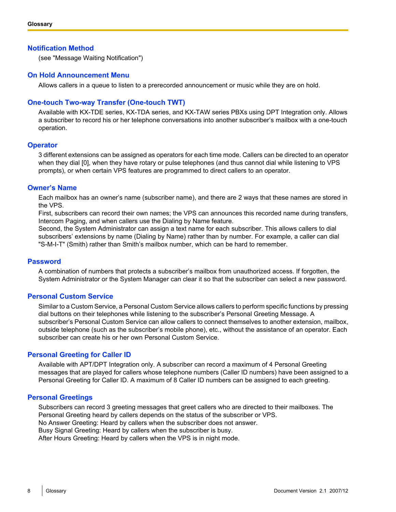# **Notification Method**

(see "Message Waiting Notification")

# **On Hold Announcement Menu**

Allows callers in a queue to listen to a prerecorded announcement or music while they are on hold.

# **One-touch Two-way Transfer (One-touch TWT)**

Available with KX-TDE series, KX-TDA series, and KX-TAW series PBXs using DPT Integration only. Allows a subscriber to record his or her telephone conversations into another subscriber's mailbox with a one-touch operation.

# **Operator**

3 different extensions can be assigned as operators for each time mode. Callers can be directed to an operator when they dial [0], when they have rotary or pulse telephones (and thus cannot dial while listening to VPS prompts), or when certain VPS features are programmed to direct callers to an operator.

# **Owner's Name**

Each mailbox has an owner's name (subscriber name), and there are 2 ways that these names are stored in the VPS.

First, subscribers can record their own names; the VPS can announces this recorded name during transfers, Intercom Paging, and when callers use the Dialing by Name feature.

Second, the System Administrator can assign a text name for each subscriber. This allows callers to dial subscribers' extensions by name (Dialing by Name) rather than by number. For example, a caller can dial "S-M-I-T" (Smith) rather than Smith's mailbox number, which can be hard to remember.

# **Password**

A combination of numbers that protects a subscriber's mailbox from unauthorized access. If forgotten, the System Administrator or the System Manager can clear it so that the subscriber can select a new password.

# **Personal Custom Service**

Similar to a Custom Service, a Personal Custom Service allows callers to perform specific functions by pressing dial buttons on their telephones while listening to the subscriber's Personal Greeting Message. A subscriber's Personal Custom Service can allow callers to connect themselves to another extension, mailbox, outside telephone (such as the subscriber's mobile phone), etc., without the assistance of an operator. Each subscriber can create his or her own Personal Custom Service.

# **Personal Greeting for Caller ID**

Available with APT/DPT Integration only. A subscriber can record a maximum of 4 Personal Greeting messages that are played for callers whose telephone numbers (Caller ID numbers) have been assigned to a Personal Greeting for Caller ID. A maximum of 8 Caller ID numbers can be assigned to each greeting.

# **Personal Greetings**

Subscribers can record 3 greeting messages that greet callers who are directed to their mailboxes. The Personal Greeting heard by callers depends on the status of the subscriber or VPS. No Answer Greeting: Heard by callers when the subscriber does not answer. Busy Signal Greeting: Heard by callers when the subscriber is busy. After Hours Greeting: Heard by callers when the VPS is in night mode.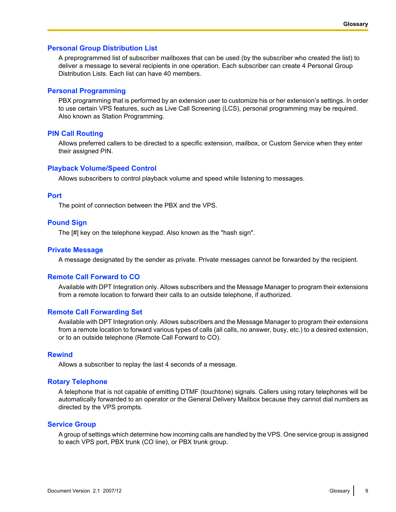# **Personal Group Distribution List**

A preprogrammed list of subscriber mailboxes that can be used (by the subscriber who created the list) to deliver a message to several recipients in one operation. Each subscriber can create 4 Personal Group Distribution Lists. Each list can have 40 members.

#### **Personal Programming**

PBX programming that is performed by an extension user to customize his or her extension's settings. In order to use certain VPS features, such as Live Call Screening (LCS), personal programming may be required. Also known as Station Programming.

#### **PIN Call Routing**

Allows preferred callers to be directed to a specific extension, mailbox, or Custom Service when they enter their assigned PIN.

#### **Playback Volume/Speed Control**

Allows subscribers to control playback volume and speed while listening to messages.

# **Port**

The point of connection between the PBX and the VPS.

#### **Pound Sign**

The [#] key on the telephone keypad. Also known as the "hash sign".

#### **Private Message**

A message designated by the sender as private. Private messages cannot be forwarded by the recipient.

#### **Remote Call Forward to CO**

Available with DPT Integration only. Allows subscribers and the Message Manager to program their extensions from a remote location to forward their calls to an outside telephone, if authorized.

#### **Remote Call Forwarding Set**

Available with DPT Integration only. Allows subscribers and the Message Manager to program their extensions from a remote location to forward various types of calls (all calls, no answer, busy, etc.) to a desired extension, or to an outside telephone (Remote Call Forward to CO).

#### **Rewind**

Allows a subscriber to replay the last 4 seconds of a message.

#### **Rotary Telephone**

A telephone that is not capable of emitting DTMF (touchtone) signals. Callers using rotary telephones will be automatically forwarded to an operator or the General Delivery Mailbox because they cannot dial numbers as directed by the VPS prompts.

#### **Service Group**

A group of settings which determine how incoming calls are handled by the VPS. One service group is assigned to each VPS port, PBX trunk (CO line), or PBX trunk group.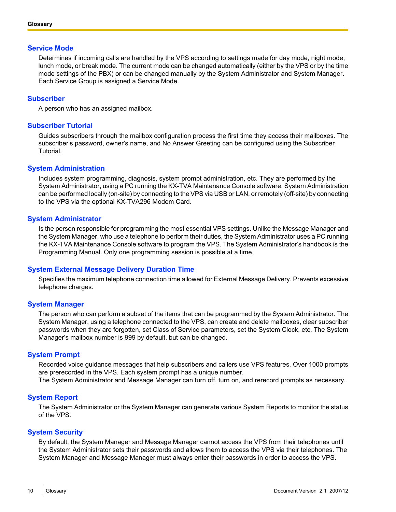# **Service Mode**

Determines if incoming calls are handled by the VPS according to settings made for day mode, night mode, lunch mode, or break mode. The current mode can be changed automatically (either by the VPS or by the time mode settings of the PBX) or can be changed manually by the System Administrator and System Manager. Each Service Group is assigned a Service Mode.

#### **Subscriber**

A person who has an assigned mailbox.

#### **Subscriber Tutorial**

Guides subscribers through the mailbox configuration process the first time they access their mailboxes. The subscriber's password, owner's name, and No Answer Greeting can be configured using the Subscriber Tutorial.

#### **System Administration**

Includes system programming, diagnosis, system prompt administration, etc. They are performed by the System Administrator, using a PC running the KX-TVA Maintenance Console software. System Administration can be performed locally (on-site) by connecting to the VPS via USB or LAN, or remotely (off-site) by connecting to the VPS via the optional KX-TVA296 Modem Card.

#### **System Administrator**

Is the person responsible for programming the most essential VPS settings. Unlike the Message Manager and the System Manager, who use a telephone to perform their duties, the System Administrator uses a PC running the KX-TVA Maintenance Console software to program the VPS. The System Administrator's handbook is the Programming Manual. Only one programming session is possible at a time.

#### **System External Message Delivery Duration Time**

Specifies the maximum telephone connection time allowed for External Message Delivery. Prevents excessive telephone charges.

# **System Manager**

The person who can perform a subset of the items that can be programmed by the System Administrator. The System Manager, using a telephone connected to the VPS, can create and delete mailboxes, clear subscriber passwords when they are forgotten, set Class of Service parameters, set the System Clock, etc. The System Manager's mailbox number is 999 by default, but can be changed.

#### **System Prompt**

Recorded voice guidance messages that help subscribers and callers use VPS features. Over 1000 prompts are prerecorded in the VPS. Each system prompt has a unique number.

The System Administrator and Message Manager can turn off, turn on, and rerecord prompts as necessary.

#### **System Report**

The System Administrator or the System Manager can generate various System Reports to monitor the status of the VPS.

#### **System Security**

By default, the System Manager and Message Manager cannot access the VPS from their telephones until the System Administrator sets their passwords and allows them to access the VPS via their telephones. The System Manager and Message Manager must always enter their passwords in order to access the VPS.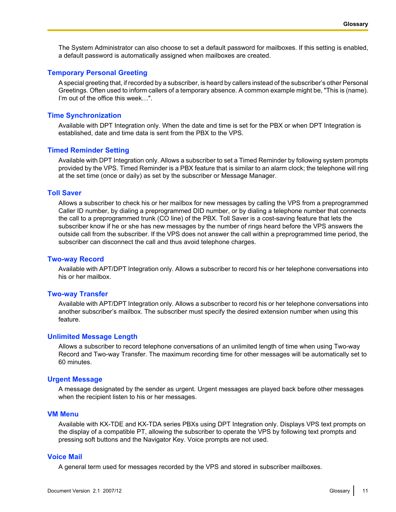The System Administrator can also choose to set a default password for mailboxes. If this setting is enabled, a default password is automatically assigned when mailboxes are created.

# **Temporary Personal Greeting**

A special greeting that, if recorded by a subscriber, is heard by callers instead of the subscriber's other Personal Greetings. Often used to inform callers of a temporary absence. A common example might be, "This is (name). I'm out of the office this week…".

#### **Time Synchronization**

Available with DPT Integration only. When the date and time is set for the PBX or when DPT Integration is established, date and time data is sent from the PBX to the VPS.

#### **Timed Reminder Setting**

Available with DPT Integration only. Allows a subscriber to set a Timed Reminder by following system prompts provided by the VPS. Timed Reminder is a PBX feature that is similar to an alarm clock; the telephone will ring at the set time (once or daily) as set by the subscriber or Message Manager.

#### **Toll Saver**

Allows a subscriber to check his or her mailbox for new messages by calling the VPS from a preprogrammed Caller ID number, by dialing a preprogrammed DID number, or by dialing a telephone number that connects the call to a preprogrammed trunk (CO line) of the PBX. Toll Saver is a cost-saving feature that lets the subscriber know if he or she has new messages by the number of rings heard before the VPS answers the outside call from the subscriber. If the VPS does not answer the call within a preprogrammed time period, the subscriber can disconnect the call and thus avoid telephone charges.

#### **Two-way Record**

Available with APT/DPT Integration only. Allows a subscriber to record his or her telephone conversations into his or her mailbox.

#### **Two-way Transfer**

Available with APT/DPT Integration only. Allows a subscriber to record his or her telephone conversations into another subscriber's mailbox. The subscriber must specify the desired extension number when using this feature.

#### **Unlimited Message Length**

Allows a subscriber to record telephone conversations of an unlimited length of time when using Two-way Record and Two-way Transfer. The maximum recording time for other messages will be automatically set to 60 minutes.

#### **Urgent Message**

A message designated by the sender as urgent. Urgent messages are played back before other messages when the recipient listen to his or her messages.

#### **VM Menu**

Available with KX-TDE and KX-TDA series PBXs using DPT Integration only. Displays VPS text prompts on the display of a compatible PT, allowing the subscriber to operate the VPS by following text prompts and pressing soft buttons and the Navigator Key. Voice prompts are not used.

#### **Voice Mail**

A general term used for messages recorded by the VPS and stored in subscriber mailboxes.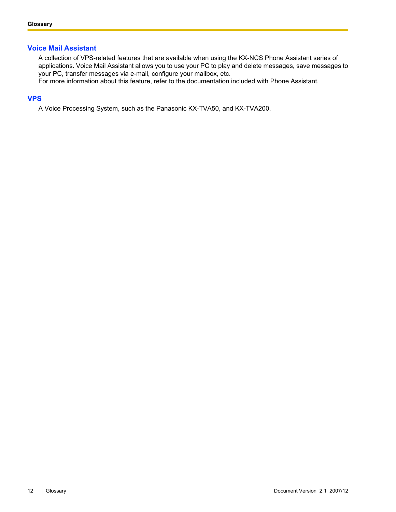# **Voice Mail Assistant**

A collection of VPS-related features that are available when using the KX-NCS Phone Assistant series of applications. Voice Mail Assistant allows you to use your PC to play and delete messages, save messages to your PC, transfer messages via e-mail, configure your mailbox, etc.

For more information about this feature, refer to the documentation included with Phone Assistant.

# **VPS**

A Voice Processing System, such as the Panasonic KX-TVA50, and KX-TVA200.